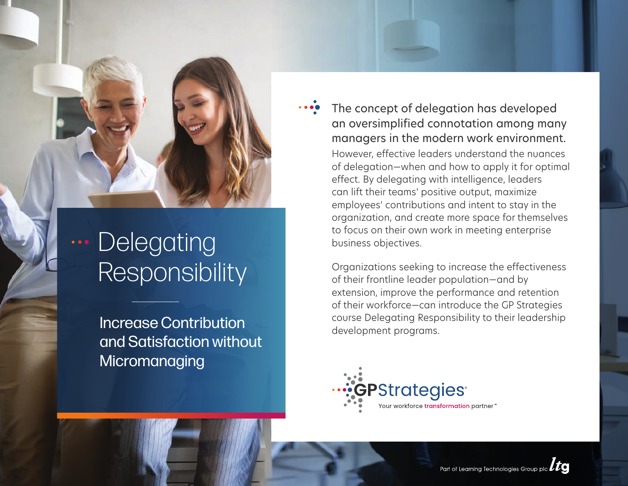**...** Delegating **Responsibility** 

> Increase Contribution and Satisfaction without **Micromanaging**

The concept of delegation has developed an oversimplified connotation among many managers in the modern work environment.

However, effective leaders understand the nuances of delegation—when and how to apply it for optimal effect. By delegating with intelligence, leaders can lift their teams' positive output, maximize employees' contributions and intent to stay in the organization, and create more space for themselves to focus on their own work in meeting enterprise business objectives.

Organizations seeking to increase the effectiveness of their frontline leader population—and by extension, improve the performance and retention of their workforce—can introduce the GP Strategies course Delegating Responsibility to their leadership development programs.